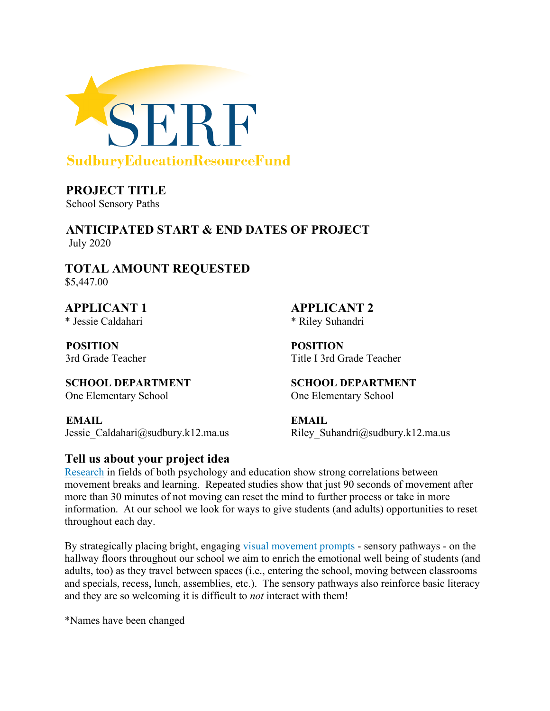

**PROJECT TITLE** School Sensory Paths

**ANTICIPATED START & END DATES OF PROJECT**  July 2020

**TOTAL AMOUNT REQUESTED** \$5,447.00

**APPLICANT 1 APPLICANT 2** \* Jessie Caldahari \* Riley Suhandri

**POSITION POSITION** 

**SCHOOL DEPARTMENT SCHOOL DEPARTMENT** One Elementary School One Elementary School

**EMAIL EMAIL**  Jessie Caldahar[i@sudbury.k12.ma.us](mailto:pat_brown@sudbury.k12.ma.us) Riley Suhandr[i@sudbury.k12.ma.us](mailto:jamie_smith@sudbury.k12.ma.us)

#### **Tell us about your project idea**

3rd Grade Teacher Title I 3rd Grade Teacher

Research in fields of both psychology and education show strong correlations between movement breaks and learning. Repeated studies show that just 90 seconds of movement after more than 30 minutes of not moving can reset the mind to further process or take in more information. At our school we look for ways to give students (and adults) opportunities to reset throughout each day.

By strategically placing bright, engaging visual movement prompts - sensory pathways - on the hallway floors throughout our school we aim to enrich the emotional well being of students (and adults, too) as they travel between spaces (i.e., entering the school, moving between classrooms and specials, recess, lunch, assemblies, etc.). The sensory pathways also reinforce basic literacy and they are so welcoming it is difficult to *not* interact with them!

\*Names have been changed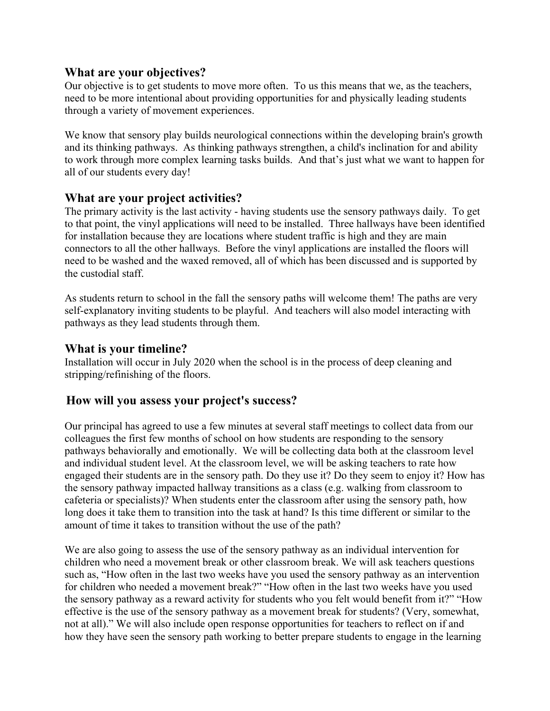#### **What are your objectives?**

Our objective is to get students to move more often. To us this means that we, as the teachers, need to be more intentional about providing opportunities for and physically leading students through a variety of movement experiences.

We know that sensory play builds neurological connections within the developing brain's growth and its thinking pathways. As thinking pathways strengthen, a child's inclination for and ability to work through more complex learning tasks builds. And that's just what we want to happen for all of our students every day!

#### **What are your project activities?**

The primary activity is the last activity - having students use the sensory pathways daily. To get to that point, the vinyl applications will need to be installed. Three hallways have been identified for installation because they are locations where student traffic is high and they are main connectors to all the other hallways. Before the vinyl applications are installed the floors will need to be washed and the waxed removed, all of which has been discussed and is supported by the custodial staff.

As students return to school in the fall the sensory paths will welcome them! The paths are very self-explanatory inviting students to be playful. And teachers will also model interacting with pathways as they lead students through them.

#### **What is your timeline?**

Installation will occur in July 2020 when the school is in the process of deep cleaning and stripping/refinishing of the floors.

#### **How will you assess your project's success?**

Our principal has agreed to use a few minutes at several staff meetings to collect data from our colleagues the first few months of school on how students are responding to the sensory pathways behaviorally and emotionally. We will be collecting data both at the classroom level and individual student level. At the classroom level, we will be asking teachers to rate how engaged their students are in the sensory path. Do they use it? Do they seem to enjoy it? How has the sensory pathway impacted hallway transitions as a class (e.g. walking from classroom to cafeteria or specialists)? When students enter the classroom after using the sensory path, how long does it take them to transition into the task at hand? Is this time different or similar to the amount of time it takes to transition without the use of the path?

We are also going to assess the use of the sensory pathway as an individual intervention for children who need a movement break or other classroom break. We will ask teachers questions such as, "How often in the last two weeks have you used the sensory pathway as an intervention for children who needed a movement break?" "How often in the last two weeks have you used the sensory pathway as a reward activity for students who you felt would benefit from it?" "How effective is the use of the sensory pathway as a movement break for students? (Very, somewhat, not at all)." We will also include open response opportunities for teachers to reflect on if and how they have seen the sensory path working to better prepare students to engage in the learning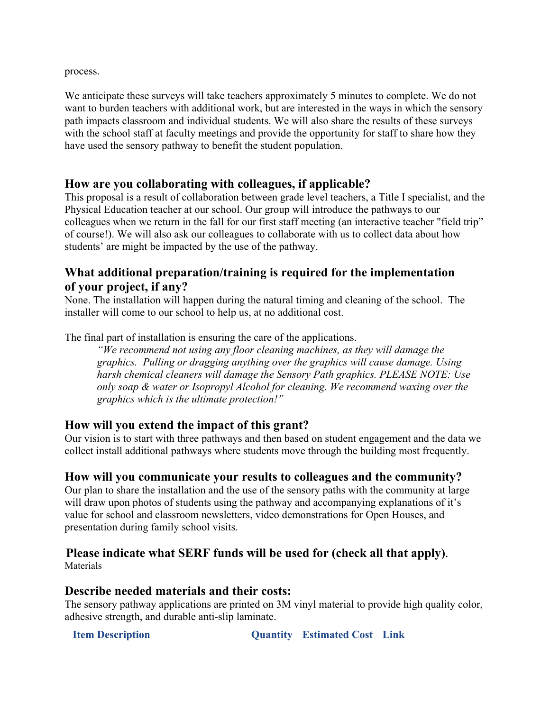process.

We anticipate these surveys will take teachers approximately 5 minutes to complete. We do not want to burden teachers with additional work, but are interested in the ways in which the sensory path impacts classroom and individual students. We will also share the results of these surveys with the school staff at faculty meetings and provide the opportunity for staff to share how they have used the sensory pathway to benefit the student population.

#### **How are you collaborating with colleagues, if applicable?**

This proposal is a result of collaboration between grade level teachers, a Title I specialist, and the Physical Education teacher at our school. Our group will introduce the pathways to our colleagues when we return in the fall for our first staff meeting (an interactive teacher "field trip" of course!). We will also ask our colleagues to collaborate with us to collect data about how students' are might be impacted by the use of the pathway.

### **What additional preparation/training is required for the implementation of your project, if any?**

None. The installation will happen during the natural timing and cleaning of the school. The installer will come to our school to help us, at no additional cost.

The final part of installation is ensuring the care of the applications.

*"We recommend not using any floor cleaning machines, as they will damage the graphics. Pulling or dragging anything over the graphics will cause damage. Using harsh chemical cleaners will damage the Sensory Path graphics. PLEASE NOTE: Use only soap & water or Isopropyl Alcohol for cleaning. We recommend waxing over the graphics which is the ultimate protection!"* 

#### **How will you extend the impact of this grant?**

Our vision is to start with three pathways and then based on student engagement and the data we collect install additional pathways where students move through the building most frequently.

#### **How will you communicate your results to colleagues and the community?**

Our plan to share the installation and the use of the sensory paths with the community at large will draw upon photos of students using the pathway and accompanying explanations of it's value for school and classroom newsletters, video demonstrations for Open Houses, and presentation during family school visits.

# **Please indicate what SERF funds will be used for (check all that apply)**. Materials

#### **Describe needed materials and their costs:**

The sensory pathway applications are printed on 3M vinyl material to provide high quality color, adhesive strength, and durable anti-slip laminate.

**Item Description Quantity Estimated Cost Link**